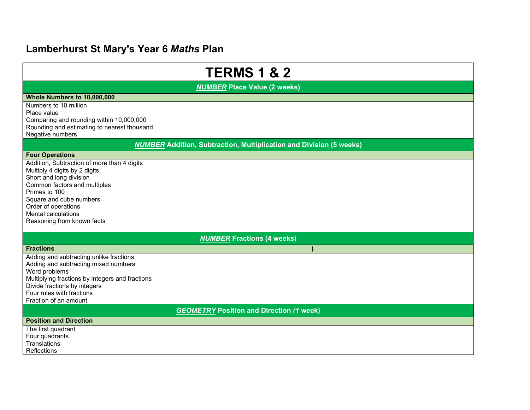## Lamberhurst St Mary's Year 6 Maths Plan

| <b>TERMS 1 &amp; 2</b>                                                                  |  |  |
|-----------------------------------------------------------------------------------------|--|--|
| <b>NUMBER Place Value (2 weeks)</b>                                                     |  |  |
| Whole Numbers to 10,000,000                                                             |  |  |
| Numbers to 10 million                                                                   |  |  |
| Place value                                                                             |  |  |
| Comparing and rounding within 10,000,000<br>Rounding and estimating to nearest thousand |  |  |
| Negative numbers                                                                        |  |  |
| <b>NUMBER Addition, Subtraction, Multiplication and Division (5 weeks)</b>              |  |  |
| <b>Four Operations</b>                                                                  |  |  |
| Addition, Subtraction of more than 4 digits                                             |  |  |
| Multiply 4 digits by 2 digits                                                           |  |  |
| Short and long division<br>Common factors and multiples                                 |  |  |
| Primes to 100                                                                           |  |  |
| Square and cube numbers                                                                 |  |  |
| Order of operations                                                                     |  |  |
| Mental calculations                                                                     |  |  |
| Reasoning from known facts                                                              |  |  |
| <b>NUMBER Fractions (4 weeks)</b>                                                       |  |  |
| <b>Fractions</b>                                                                        |  |  |
| Adding and subtracting unlike fractions                                                 |  |  |
| Adding and subtracting mixed numbers                                                    |  |  |
| Word problems<br>Multiplying fractions by integers and fractions                        |  |  |
| Divide fractions by integers                                                            |  |  |
| Four rules with fractions                                                               |  |  |
| Fraction of an amount                                                                   |  |  |
| <b>GEOMETRY Position and Direction (1 week)</b>                                         |  |  |
| <b>Position and Direction</b>                                                           |  |  |
| The first quadrant                                                                      |  |  |
| Four quadrants<br><b>Translations</b>                                                   |  |  |
| Reflections                                                                             |  |  |
|                                                                                         |  |  |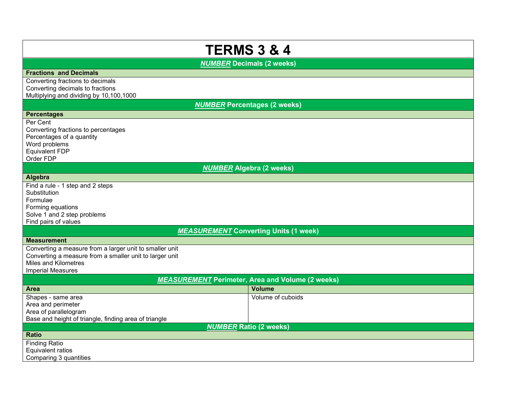| <b>TERMS 3 &amp; 4</b>                                                                                                                                                 |                   |  |
|------------------------------------------------------------------------------------------------------------------------------------------------------------------------|-------------------|--|
| <b>NUMBER Decimals (2 weeks)</b>                                                                                                                                       |                   |  |
| <b>Fractions and Decimals</b>                                                                                                                                          |                   |  |
| Converting fractions to decimals<br>Converting decimals to fractions<br>Multiplying and dividing by 10,100,1000                                                        |                   |  |
| <b>NUMBER Percentages (2 weeks)</b>                                                                                                                                    |                   |  |
| <b>Percentages</b>                                                                                                                                                     |                   |  |
| Per Cent<br>Converting fractions to percentages<br>Percentages of a quantity<br>Word problems<br>Equivalent FDP<br>Order FDP                                           |                   |  |
| <b>NUMBER Algebra (2 weeks)</b>                                                                                                                                        |                   |  |
| Algebra                                                                                                                                                                |                   |  |
| Find a rule - 1 step and 2 steps<br>Substitution<br>Formulae<br>Forming equations<br>Solve 1 and 2 step problems<br>Find pairs of values                               |                   |  |
| <b>MEASUREMENT Converting Units (1 week)</b>                                                                                                                           |                   |  |
| <b>Measurement</b>                                                                                                                                                     |                   |  |
| Converting a measure from a larger unit to smaller unit<br>Converting a measure from a smaller unit to larger unit<br>Miles and Kilometres<br><b>Imperial Measures</b> |                   |  |
| <b>MEASUREMENT</b> Perimeter, Area and Volume (2 weeks)                                                                                                                |                   |  |
| <b>Area</b>                                                                                                                                                            | <b>Volume</b>     |  |
| Shapes - same area<br>Area and perimeter<br>Area of parallelogram<br>Base and height of triangle, finding area of triangle                                             | Volume of cuboids |  |
| <b>NUMBER Ratio (2 weeks)</b>                                                                                                                                          |                   |  |
| <b>Ratio</b><br><b>Finding Ratio</b>                                                                                                                                   |                   |  |
| Equivalent ratios<br>Comparing 3 quantities                                                                                                                            |                   |  |